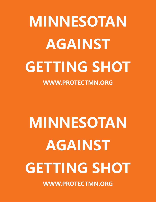# **MINNESOTAN AGAINST GETTING SHOT**

**WWW.PROTECTMN.ORG** 

# **MINNESOTAN AGAINST GETTING SHOT**

**WWW.PROTECTMN.ORG**